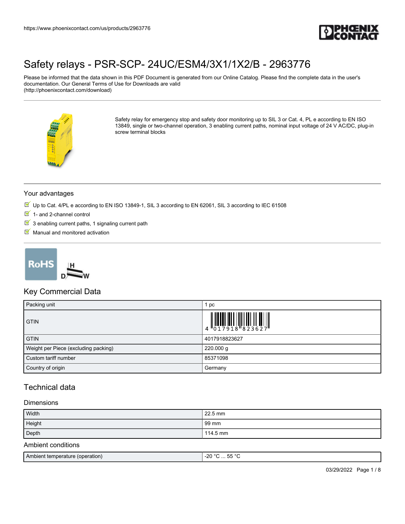

Please be informed that the data shown in this PDF Document is generated from our Online Catalog. Please find the complete data in the user's documentation. Our General Terms of Use for Downloads are valid (http://phoenixcontact.com/download)



Safety relay for emergency stop and safety door monitoring up to SIL 3 or Cat. 4, PL e according to EN ISO 13849, single or two-channel operation, 3 enabling current paths, nominal input voltage of 24 V AC/DC, plug-in screw terminal blocks

#### Your advantages

- Up to Cat. 4/PL e according to EN ISO 13849-1, SIL 3 according to EN 62061, SIL 3 according to IEC 61508
- $1$  and 2-channel control
- $\boxed{3}$  3 enabling current paths, 1 signaling current path
- $M$  Manual and monitored activation



### Key Commercial Data

| Packing unit                         | 1 pc                                                                                                                                                                                                                                                                                                                      |
|--------------------------------------|---------------------------------------------------------------------------------------------------------------------------------------------------------------------------------------------------------------------------------------------------------------------------------------------------------------------------|
| <b>GTIN</b>                          | $\begin{array}{c} 1 & 0 & 0 & 0 \\ 0 & 1 & 7 & 9 & 1 & 8 \\ 0 & 0 & 1 & 7 & 9 & 1 & 8 \\ 0 & 0 & 0 & 0 & 0 & 0 \\ 0 & 0 & 0 & 0 & 0 & 0 \\ 0 & 0 & 0 & 0 & 0 & 0 \\ 0 & 0 & 0 & 0 & 0 & 0 \\ 0 & 0 & 0 & 0 & 0 & 0 \\ 0 & 0 & 0 & 0 & 0 & 0 & 0 \\ 0 & 0 & 0 & 0 & 0 & 0 & 0 \\ 0 & 0 & 0 & 0 & 0 & 0 & 0 \\ 0 & 0 & 0 &$ |
| <b>GTIN</b>                          | 4017918823627                                                                                                                                                                                                                                                                                                             |
| Weight per Piece (excluding packing) | 220.000 g                                                                                                                                                                                                                                                                                                                 |
| Custom tariff number                 | 85371098                                                                                                                                                                                                                                                                                                                  |
| Country of origin                    | Germany                                                                                                                                                                                                                                                                                                                   |

### Technical data

#### **Dimensions**

| Width                           | 22.5 mm         |  |
|---------------------------------|-----------------|--|
| Height                          | 99 mm           |  |
| Depth                           | 114.5 mm        |  |
| Ambient conditions              |                 |  |
| Ambient temperature (operation) | $-20 °C  55 °C$ |  |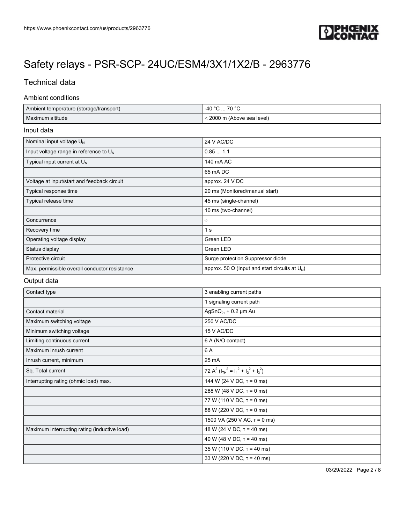

## Technical data

#### Ambient conditions

| Ambient temperature (storage/transport) | 70 °C<br>-40 °C            |
|-----------------------------------------|----------------------------|
| Maximum altitude                        | ≤ 2000 m (Above sea level) |

#### Input data

| Nominal input voltage U <sub>N</sub>               | 24 V AC/DC                                                 |
|----------------------------------------------------|------------------------------------------------------------|
| Input voltage range in reference to U <sub>N</sub> | 0.851.1                                                    |
| Typical input current at $U_{N}$                   | 140 mA AC                                                  |
|                                                    | 65 mA DC                                                   |
| Voltage at input/start and feedback circuit        | approx. 24 V DC                                            |
| Typical response time                              | 20 ms (Monitored/manual start)                             |
| Typical release time                               | 45 ms (single-channel)                                     |
|                                                    | 10 ms (two-channel)                                        |
| Concurrence                                        | $^{\circ}$                                                 |
| Recovery time                                      | 1 s                                                        |
| Operating voltage display                          | Green LED                                                  |
| Status display                                     | Green LED                                                  |
| Protective circuit                                 | Surge protection Suppressor diode                          |
| Max. permissible overall conductor resistance      | approx. 50 $\Omega$ (lnput and start circuits at $U_{N}$ ) |

### Output data

| Contact type                                 | 3 enabling current paths                               |
|----------------------------------------------|--------------------------------------------------------|
|                                              | 1 signaling current path                               |
| Contact material                             | $AgSnO2$ , + 0.2 µm Au                                 |
| Maximum switching voltage                    | 250 V AC/DC                                            |
| Minimum switching voltage                    | 15 V AC/DC                                             |
| Limiting continuous current                  | 6 A (N/O contact)                                      |
| Maximum inrush current                       | 6 A                                                    |
| Inrush current, minimum                      | 25 mA                                                  |
| Sq. Total current                            | 72 A <sup>2</sup> $(I_{TH}^2 = I_1^2 + I_2^2 + I_3^2)$ |
| Interrupting rating (ohmic load) max.        | 144 W (24 V DC, $\tau$ = 0 ms)                         |
|                                              | 288 W (48 V DC, $\tau$ = 0 ms)                         |
|                                              | 77 W (110 V DC, $\tau$ = 0 ms)                         |
|                                              | 88 W (220 V DC, $\tau$ = 0 ms)                         |
|                                              | 1500 VA (250 V AC, $\tau$ = 0 ms)                      |
| Maximum interrupting rating (inductive load) | 48 W (24 V DC, $\tau$ = 40 ms)                         |
|                                              | 40 W (48 V DC, $\tau$ = 40 ms)                         |
|                                              | $35 W (110 V DC, \tau = 40 ms)$                        |
|                                              | 33 W (220 V DC, $T = 40$ ms)                           |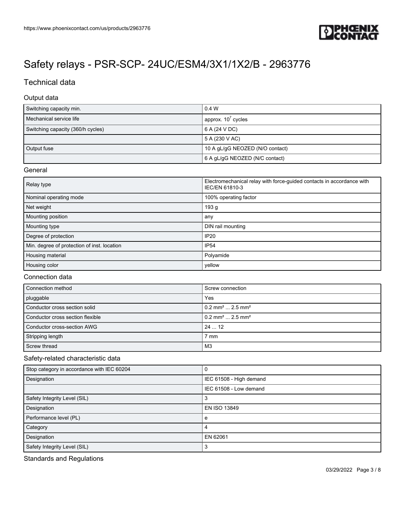

## Technical data

#### Output data

| Switching capacity min.           | 0.4 W                           |
|-----------------------------------|---------------------------------|
| Mechanical service life           | approx. $107$ cycles            |
| Switching capacity (360/h cycles) | 6 A (24 V DC)                   |
|                                   | 5A(230 VAC)                     |
| Output fuse                       | 10 A gL/gG NEOZED (N/O contact) |
|                                   | 6 A gL/gG NEOZED (N/C contact)  |

#### General

| Relay type                                  | Electromechanical relay with force-guided contacts in accordance with<br>IEC/EN 61810-3 |
|---------------------------------------------|-----------------------------------------------------------------------------------------|
| Nominal operating mode                      | 100% operating factor                                                                   |
| Net weight                                  | 193 <sub>g</sub>                                                                        |
| Mounting position                           | any                                                                                     |
| Mounting type                               | DIN rail mounting                                                                       |
| Degree of protection                        | <b>IP20</b>                                                                             |
| Min. degree of protection of inst. location | <b>IP54</b>                                                                             |
| Housing material                            | Polyamide                                                                               |
| Housing color                               | yellow                                                                                  |

### Connection data

| Connection method                | Screw connection                           |
|----------------------------------|--------------------------------------------|
| pluggable                        | Yes                                        |
| Conductor cross section solid    | $10.2$ mm <sup>2</sup> 2.5 mm <sup>2</sup> |
| Conductor cross section flexible | $0.2$ mm <sup>2</sup> 2.5 mm <sup>2</sup>  |
| Conductor cross-section AWG      | 2412                                       |
| Stripping length                 | 7 mm                                       |
| Screw thread                     | M3                                         |

### Safety-related characteristic data

| Stop category in accordance with IEC 60204 |                         |
|--------------------------------------------|-------------------------|
| Designation                                | IEC 61508 - High demand |
|                                            | IEC 61508 - Low demand  |
| Safety Integrity Level (SIL)               |                         |
| Designation                                | EN ISO 13849            |
| Performance level (PL)                     | e                       |
| Category                                   | 4                       |
| Designation                                | EN 62061                |
| Safety Integrity Level (SIL)               | 3                       |

Standards and Regulations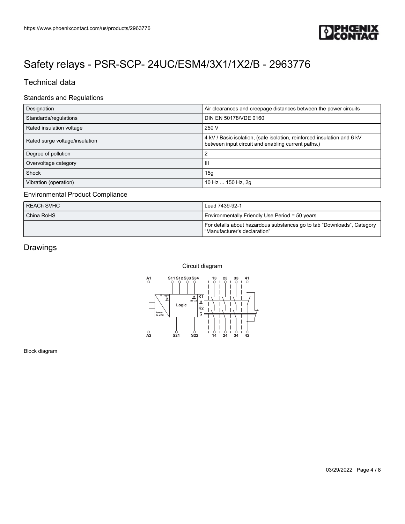

### Technical data

#### Standards and Regulations

| Designation                    | Air clearances and creepage distances between the power circuits                                                              |
|--------------------------------|-------------------------------------------------------------------------------------------------------------------------------|
| Standards/regulations          | DIN EN 50178/VDE 0160                                                                                                         |
| Rated insulation voltage       | 250 V                                                                                                                         |
| Rated surge voltage/insulation | 4 kV / Basic isolation, (safe isolation, reinforced insulation and 6 kV<br>between input circuit and enabling current paths.) |
| Degree of pollution            |                                                                                                                               |
| Overvoltage category           | Ш                                                                                                                             |
| Shock                          | 15 <sub>q</sub>                                                                                                               |
| Vibration (operation)          | 10 Hz  150 Hz, 2g                                                                                                             |

#### Environmental Product Compliance

| <b>REACH SVHC</b> | Lead 7439-92-1                                                                                         |
|-------------------|--------------------------------------------------------------------------------------------------------|
| China RoHS        | Environmentally Friendly Use Period = 50 years                                                         |
|                   | For details about hazardous substances go to tab "Downloads", Category<br>"Manufacturer's declaration" |

## Drawings

#### Circuit diagram



Block diagram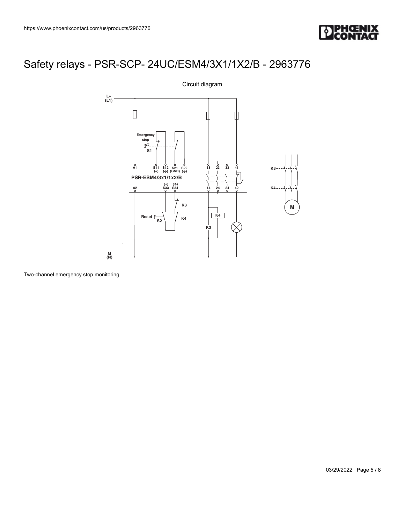



Two-channel emergency stop monitoring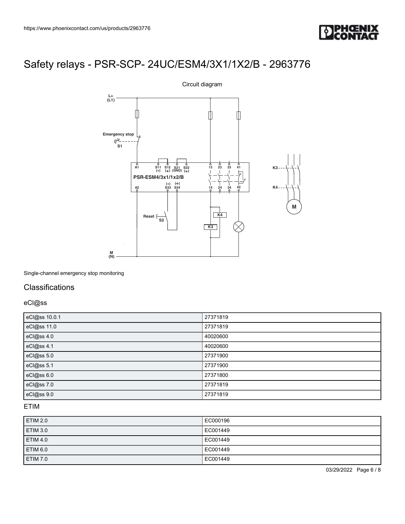



Single-channel emergency stop monitoring

### **Classifications**

eCl@ss

| eCl@ss 10.0.1 | 27371819 |
|---------------|----------|
| eCl@ss 11.0   | 27371819 |
| eCl@ss 4.0    | 40020600 |
| eCl@ss 4.1    | 40020600 |
| eCl@ss 5.0    | 27371900 |
| eCl@ss 5.1    | 27371900 |
| eCl@ss 6.0    | 27371800 |
| eCl@ss 7.0    | 27371819 |
| eCl@ss 9.0    | 27371819 |

### ETIM

| ETIM 2.0        | EC000196 |
|-----------------|----------|
| ETIM 3.0        | EC001449 |
| <b>ETIM 4.0</b> | EC001449 |
| ETIM 6.0        | EC001449 |
| ETIM 7.0        | EC001449 |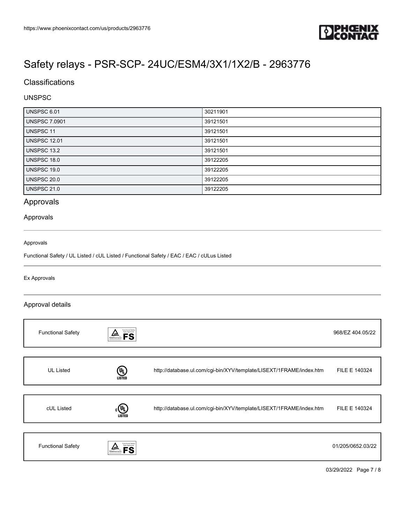

## **Classifications**

#### UNSPSC

| UNSPSC 6.01          | 30211901 |
|----------------------|----------|
| <b>UNSPSC 7.0901</b> | 39121501 |
| <b>UNSPSC 11</b>     | 39121501 |
| <b>UNSPSC 12.01</b>  | 39121501 |
| UNSPSC 13.2          | 39121501 |
| <b>UNSPSC 18.0</b>   | 39122205 |
| UNSPSC 19.0          | 39122205 |
| <b>UNSPSC 20.0</b>   | 39122205 |
| <b>UNSPSC 21.0</b>   | 39122205 |

## Approvals

#### Approvals

#### Approvals

Functional Safety / UL Listed / cUL Listed / Functional Safety / EAC / EAC / cULus Listed

#### Ex Approvals

#### Approval details

| <b>Functional Safety</b> | Functional Safety<br>Type Approved<br><b>FS</b><br>TÜVRheinland |                                                                     | 968/EZ 404.05/22  |
|--------------------------|-----------------------------------------------------------------|---------------------------------------------------------------------|-------------------|
|                          |                                                                 |                                                                     |                   |
| <b>UL Listed</b>         | (9<br><b>LISTED</b>                                             | http://database.ul.com/cgi-bin/XYV/template/LISEXT/1FRAME/index.htm | FILE E 140324     |
|                          |                                                                 |                                                                     |                   |
| cUL Listed               | $(\mathbf{U}_L)$<br><b>LISTED</b>                               | http://database.ul.com/cgi-bin/XYV/template/LISEXT/1FRAME/index.htm | FILE E 140324     |
|                          |                                                                 |                                                                     |                   |
| <b>Functional Safety</b> | Functional Safety<br>Type Approved                              |                                                                     | 01/205/0652.03/22 |

03/29/2022 Page 7 / 8